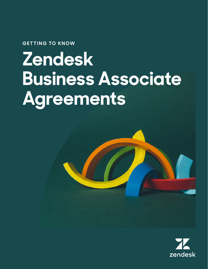**GETTING TO KNOW**

# **Zendesk Business Associate Agreements**

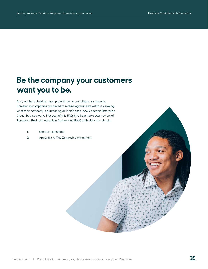## **Be the company your customers want you to be.**

And, we like to lead by example with being completely transparent. Sometimes companies are asked to redline agreements without knowing what their company is purchasing or, in this case, how Zendesk Enterprise Cloud Services work. The goal of this FAQ is to help make your review of Zendesk's Business Associate Agreement (BAA) both clear and simple.

- 1. [General Questions](#page-2-0)
- 2. [Appendix A: The Zendesk environment](#page-4-0)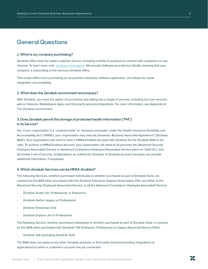## <span id="page-2-0"></span>**General Questions**

#### **1. What is my company purchasing?**

Zendesk offers tools for better customer service, including a family of products to connect with customers on any channel. To learn more, visit: [zendesk.com/support.](http://zendesk.com/support) We provide Software-as-a-Service (SaaS), meaning that your company is subscribing to the services Zendesk offers.

This model differs from purchasing an on-premise enterprise software application, and allows for easier integration and scalability.

#### **2. What does the Zendesk environment encompass?**

With Zendesk, you have the option of purchasing and opting into a range of services, including our core services, add-on features, Marketplace Apps, and third-party services/integrations. For more information, see Appendix A: The Zendesk environment.

#### **3. Does Zendesk permit the storage of protected health information ("PHI") in its Service?**

Yes. If your organization is a "covered entity" or "business associate" under the Health Insurance Portability and Accountability Act ("HIPAA"), your organization may execute Zendesk's Business Associate Agreement ("Zendesk BAA"). Your organization will need to have a HIPAA-Enabled Account with Zendesk for the Zendesk BAA to be valid. To achieve a HIPAA-Enabled Account, your organization will need to (1) purchase the Advanced Security Deployed Associated Service or Advanced Compliance Deployed Associated Service (each an "Add-On"); and (2) enable a set of security configurations as outlined by Zendesk. A Zendesk account executive can provide additional information, if requested.

#### **4. Which Zendesk Services can be HIPAA-Enabled?**

The following Services, whether purchased individually or whether purchased as part of Zendesk Suite, are covered by this BAA when purchased with the Zendesk Enterprise Support Subscription Plan and either (i) the Advanced Security Deployed Associated Service, or (ii) the Advanced Compliance Deployed Associated Service:

- Zendesk Guide Lite, Professional, or Enterprise
- Zendesk Gather Legacy or Professional
- Zendesk Enterprise Chat
- Zendesk Explore Lite or Professional

The following Service, whether purchased individually or whether purchased as part of Zendesk Suite, is covered by this BAA when purchased with Zendesk Talk Enterprise, Professional or Legacy Advanced Service Plans:

• Zendesk Talk (excluding Zendesk Text)

The BAA does not apply to any other Zendesk products or third party services (including integrations or applications) to which a customer's account may be connected.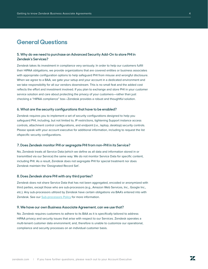## **General Questions**

#### **5. Why do we need to purchase an Advanced Security Add-On to store PHI in Zendesk's Services?**

Zendesk takes its investment in compliance very seriously. In order to help our customers fulfill their HIPAA obligations, we provide organizations that are covered entities or business associates with appropriate configuration options to help safeguard PHI from misuse and wrongful disclosure. When we agree to a BAA, we gate your setup and your account in a dedicated environment and we take responsibility for all our vendors downstream. This is no small feat and the added cost reflects the effort and investment involved. If you plan to exchange and store PHI in your customer service solution and care about protecting the privacy of your customers—rather than just checking a "HIPAA compliance" box—Zendesk provides a robust and thoughtful solution.

#### **6. What are the security configurations that have to be enabled?**

Zendesk requires you to implement a set of security configurations designed to help you safeguard PHI, including, but not limited to, IP restrictions, tightening Support instance access controls, attachment control configurations, and endpoint (i.e., laptop, desktop) security controls. Please speak with your account executive for additional information, including to request the list ofspecific security configurations.

#### **7. Does Zendesk monitor PHI or segregate PHI from non-PHI in its Service?**

No, Zendesk treats all Service Data (which we define as all data and information stored in or transmitted via our Service) the same way. We do not monitor Service Data for specific content, including PHI. As a result, Zendesk does not segregate PHI for special treatment nor does Zendesk maintain the 'Designated Record Set'.

#### **8. Does Zendesk share PHI with any third parties?**

Zendesk does not share Service Data that has not been aggregated, encoded or anonymized with third parties, except those who are sub-processors (e.g., Amazon Web Services, Inc., Google Inc., etc.). Any sub-processors utilized by Zendesk have certain obligations via BAA's entered into with Zendesk. See our [Sub-processors P](https://www.zendesk.com/company/policies-procedures/subprocessors-subcontractors/)olicy for more information.

#### **9. We have our own Business Associate Agreement, can we use that?**

No. Zendesk requires customers to adhere to its BAA as it is specifically tailored to address HIPAA privacy and security issues that arise with respect to our Services. Zendesk operates a multi-tenant customer data environment; and, therefore is unable to customize our operational, compliance and security processes on an individual customer basis.